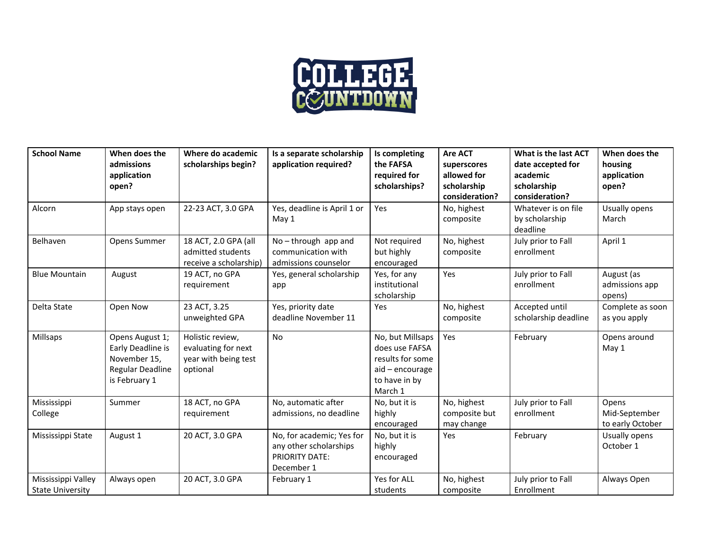

| <b>School Name</b>                            | When does the<br>admissions<br>application<br>open?                                              | Where do academic<br>scholarships begin?                                    | Is a separate scholarship<br>application required?                                         | Is completing<br>the FAFSA<br>required for<br>scholarships?                                           | Are ACT<br>superscores<br>allowed for<br>scholarship<br>consideration? | What is the last ACT<br>date accepted for<br>academic<br>scholarship<br>consideration? | When does the<br>housing<br>application<br>open? |
|-----------------------------------------------|--------------------------------------------------------------------------------------------------|-----------------------------------------------------------------------------|--------------------------------------------------------------------------------------------|-------------------------------------------------------------------------------------------------------|------------------------------------------------------------------------|----------------------------------------------------------------------------------------|--------------------------------------------------|
| Alcorn                                        | App stays open                                                                                   | 22-23 ACT, 3.0 GPA                                                          | Yes, deadline is April 1 or<br>May 1                                                       | Yes                                                                                                   | No, highest<br>composite                                               | Whatever is on file<br>by scholarship<br>deadline                                      | Usually opens<br>March                           |
| Belhaven                                      | Opens Summer                                                                                     | 18 ACT, 2.0 GPA (all<br>admitted students<br>receive a scholarship)         | $No$ - through app and<br>communication with<br>admissions counselor                       | Not required<br>but highly<br>encouraged                                                              | No, highest<br>composite                                               | July prior to Fall<br>enrollment                                                       | April 1                                          |
| <b>Blue Mountain</b>                          | August                                                                                           | 19 ACT, no GPA<br>requirement                                               | Yes, general scholarship<br>app                                                            | Yes, for any<br>institutional<br>scholarship                                                          | Yes                                                                    | July prior to Fall<br>enrollment                                                       | August (as<br>admissions app<br>opens)           |
| Delta State                                   | Open Now                                                                                         | 23 ACT, 3.25<br>unweighted GPA                                              | Yes, priority date<br>deadline November 11                                                 | Yes                                                                                                   | No, highest<br>composite                                               | Accepted until<br>scholarship deadline                                                 | Complete as soon<br>as you apply                 |
| Millsaps                                      | Opens August 1;<br>Early Deadline is<br>November 15,<br><b>Regular Deadline</b><br>is February 1 | Holistic review,<br>evaluating for next<br>year with being test<br>optional | No                                                                                         | No, but Millsaps<br>does use FAFSA<br>results for some<br>aid - encourage<br>to have in by<br>March 1 | Yes                                                                    | February                                                                               | Opens around<br>May 1                            |
| Mississippi<br>College                        | Summer                                                                                           | 18 ACT, no GPA<br>requirement                                               | No, automatic after<br>admissions, no deadline                                             | No, but it is<br>highly<br>encouraged                                                                 | No, highest<br>composite but<br>may change                             | July prior to Fall<br>enrollment                                                       | Opens<br>Mid-September<br>to early October       |
| Mississippi State                             | August 1                                                                                         | 20 ACT, 3.0 GPA                                                             | No, for academic; Yes for<br>any other scholarships<br><b>PRIORITY DATE:</b><br>December 1 | No, but it is<br>highly<br>encouraged                                                                 | Yes                                                                    | February                                                                               | Usually opens<br>October 1                       |
| Mississippi Valley<br><b>State University</b> | Always open                                                                                      | 20 ACT, 3.0 GPA                                                             | February 1                                                                                 | Yes for ALL<br>students                                                                               | No, highest<br>composite                                               | July prior to Fall<br>Enrollment                                                       | Always Open                                      |